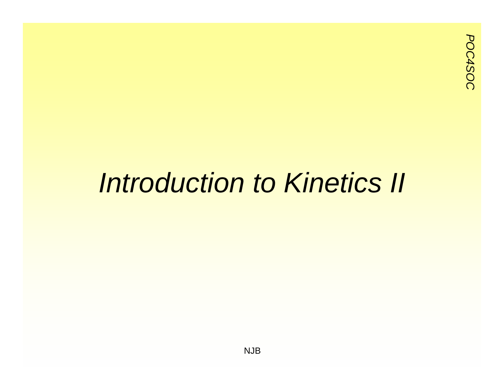#### *Introduction to Kinetics II*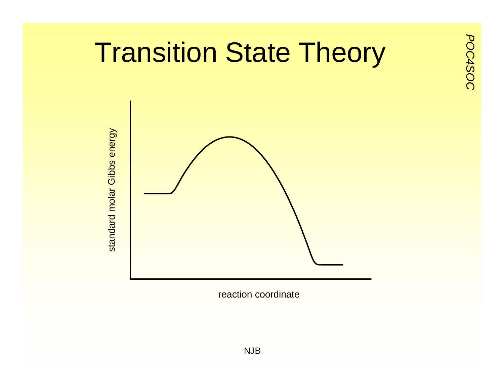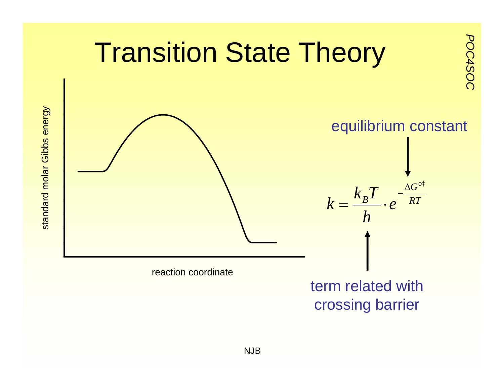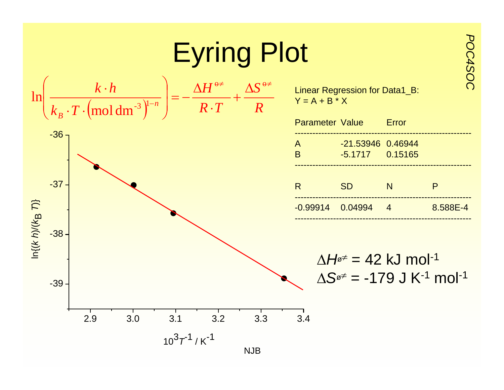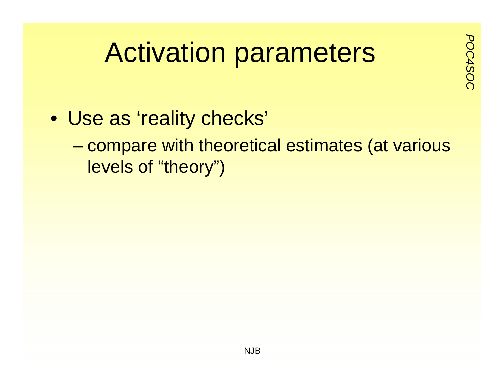# Activation parameters

- Use as 'reality checks'
	- compare with theoretical estimates (at various levels of "theory")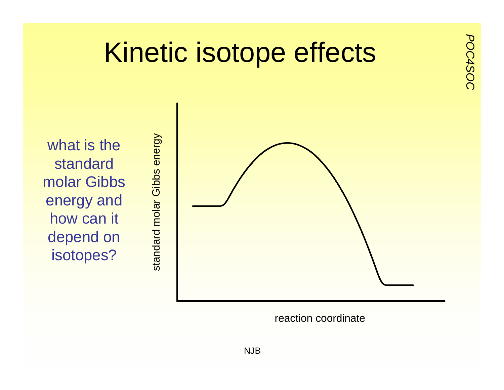

reaction coordinate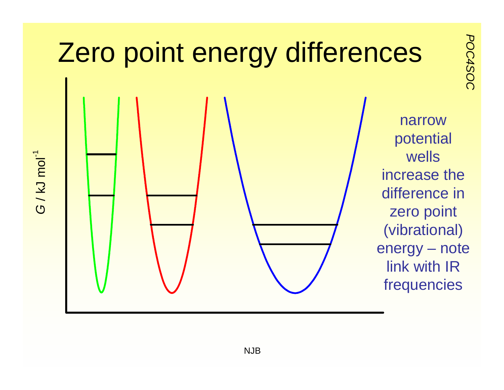

*G* / kJ mol-1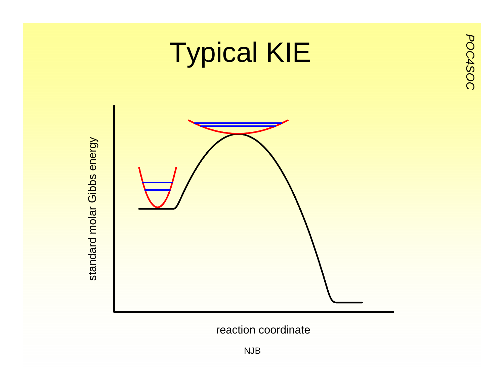

reaction coordinate

NJB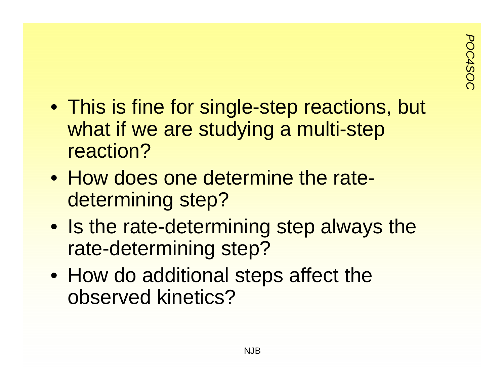- This is fine for single-step reactions, but what if we are studying a multi-step reaction?
- How does one determine the ratedetermining step?
- Is the rate-determining step always the rate-determining step?
- How do additional steps affect the observed kinetics?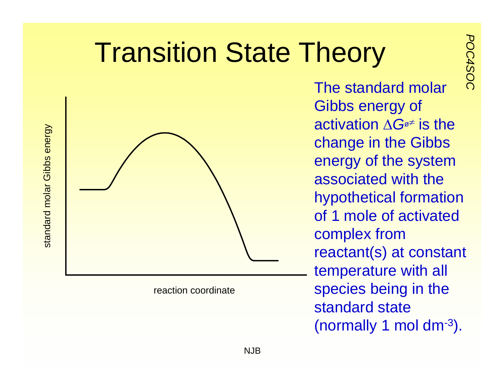# **Position State Theory**<br>The standard molar



reaction coordinate

The standard molar Gibbs energy of activation Δ*G*<sup>ø</sup> ≠ is the change in the Gibbs energy of the system associated with the hypothetical formation of 1 mole of activated complex from reactant(s) at constant temperature with all species being in the standard state (normally 1 mol dm-3).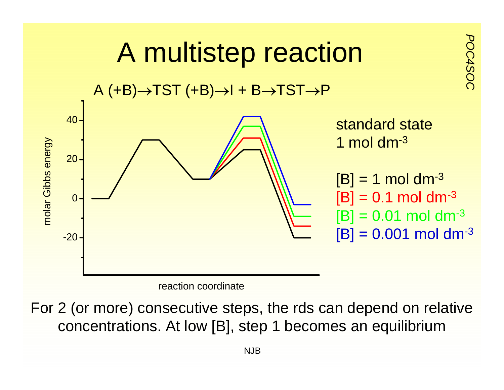

For 2 (or more) consecutive steps, the rds can depend on relative concentrations. At low [B], step 1 becomes an equilibrium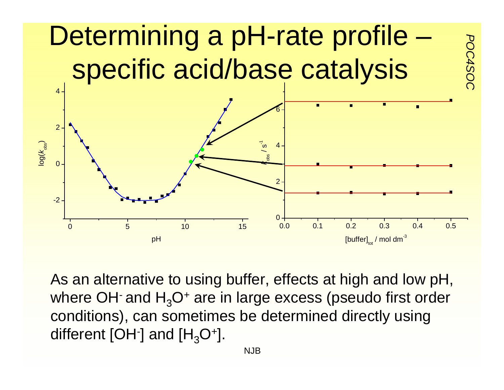

As an alternative to using buffer, effects at high and low pH, where OH $\cdot$  and H<sub>3</sub>O $\cdot$  are in large excess (pseudo first order conditions), can sometimes be determined directly using different [OH $\cdot$ ] and [H<sub>3</sub>O<sup>+</sup>].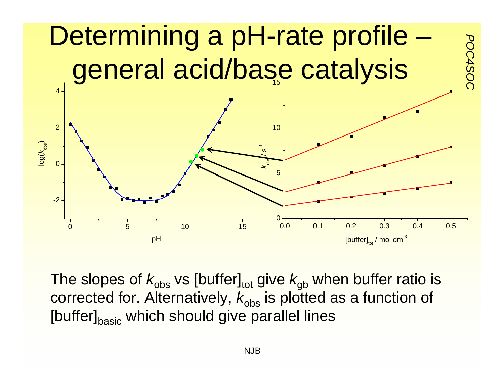

The slopes of  $k_{\rm obs}$  vs [buffer]<sub>tot</sub> give  $k_{\rm gb}$  when buffer ratio is corrected for. Alternatively,  $k_{\rm obs}$  is plotted as a function of [buffer]<sub>basic</sub> which should give parallel lines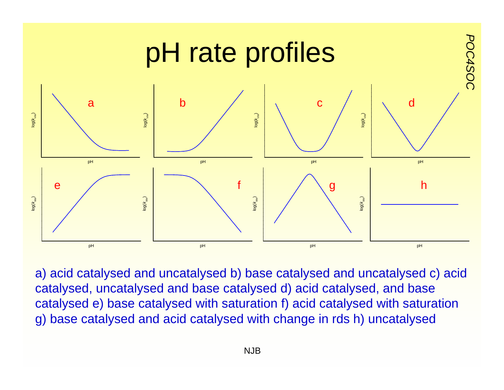

a) acid catalysed and uncatalysed b) base catalysed and uncatalysed c) acid catalysed, uncatalysed and base catalysed d) acid catalysed, and base catalysed e) base catalysed with saturation f) acid catalysed with saturation g) base catalysed and acid catalysed with change in rds h) uncatalysed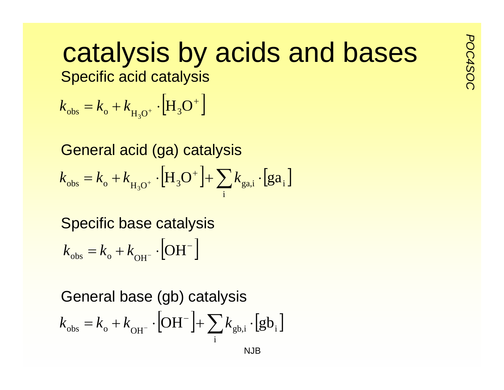#### **Catalysis by acids and bases** catalysis by acids and bases

 $k_{\text{obs}} = k_{\text{o}} + k_{\text{H}_2\text{O}^+} \cdot \left[\text{H}_3\text{O}^+\right]$ 

General acid (ga) catalysis  $k_{\rm obs} = k_{\rm o} + k_{\rm H_3O}^+ \cdot \left[ {\rm H_3O}^+ \right] + \sum k_{\rm ga,i} \cdot \left[ {\rm ga}_i \right]$ i

Specific base catalysis  $k_{\rm obs} = k_{\rm o} + k_{\rm OH^{-}} \cdot \text{[OH}^{-}$ 

NJBGeneral base (gb) catalysis  $k_{\text{obs}} = k_{\text{o}} + k_{\text{OH}^{-}} \cdot \left[ \text{OH}^{-} \right] + \sum k_{\text{gb,i}} \cdot \left[ \text{gb}_{\text{i}} \right]$ i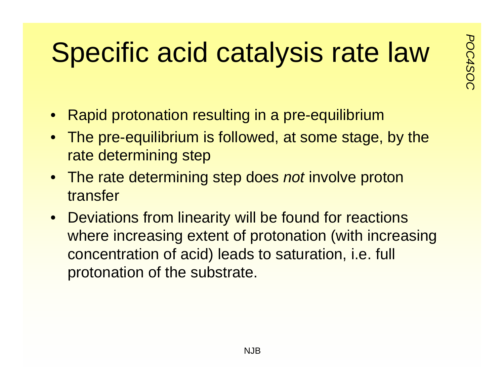### **Pode of the Catalysis rate law**

- $\bullet$ Rapid protonation resulting in a pre-equilibrium
- The pre-equilibrium is followed, at some stage, by the rate determining step
- The rate determining step does *not* involve proton transfer
- Deviations from linearity will be found for reactions where increasing extent of protonation (with increasing concentration of acid) leads to saturation, i.e. full protonation of the substrate.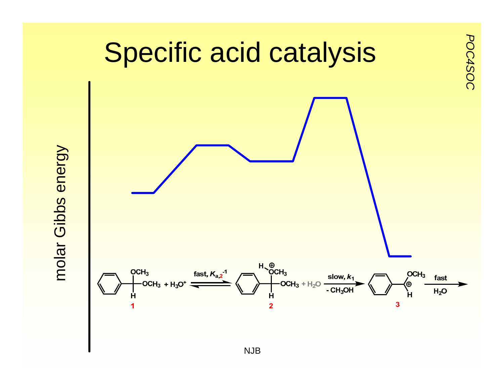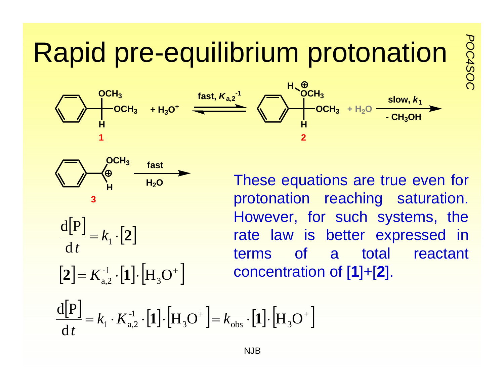#### **Propid pre-equilibrium protonation**







$$
\mathcal{L}^{\mathcal{L}}_{\mathcal{L}}
$$

$$
\frac{\mathrm{d}[P]}{\mathrm{d}t} = k_1 \cdot [2]
$$

$$
\left[\mathbf{2}\right] = K_{\mathbf{a},2}^{-1} \cdot \left[\mathbf{1}\right] \cdot \left[\mathbf{H}_{3} \mathbf{O}^{+}\right]
$$

These equations are true even for protonation reaching saturation. However, for such systems, the rate law is better expressed in terms of a total reactant concentration of [**1**]+[**2**].

$$
\frac{\mathrm{d}[P]}{\mathrm{d}t} = k_1 \cdot K_{a,2}^{-1} \cdot [1] \cdot [H_3O^+] = k_{obs} \cdot [1] \cdot [H_3O^+]
$$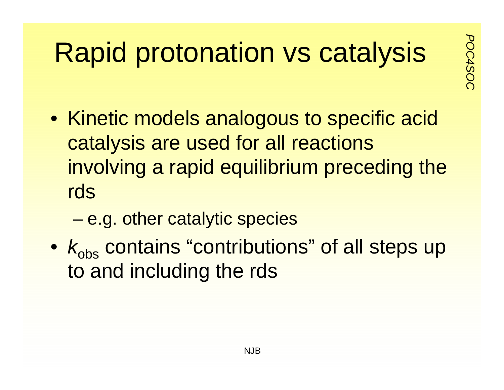### **Protonation vs catalysis**

- Kinetic models analogous to specific acid catalysis are used for all reactions involving a rapid equilibrium preceding the rds
	- –e.g. other catalytic species
- $k_{\rm obs}$  contains "contributions" of all steps up to and including the rds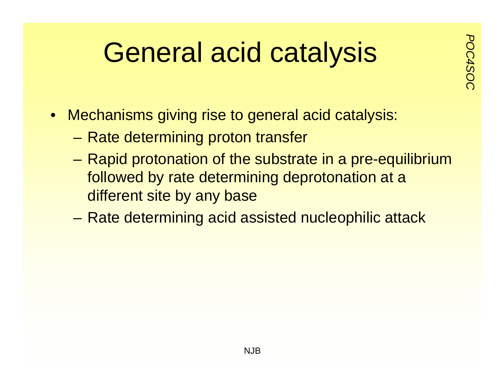### *Poweral acid catalysis*

- 
- $\bullet$  Mechanisms giving rise to general acid catalysis:
	- Rate determining proton transfer
	- Rapid protonation of the substrate in a pre-equilibrium followed by rate determining deprotonation at a different site by any base
	- –Rate determining acid assisted nucleophilic attack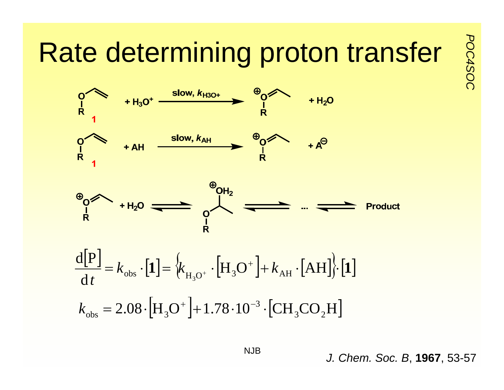# $Rate$  determining proton transfer  $\frac{5}{8}$ <br> $\frac{9}{8}$   $\leftarrow$   $\frac{1}{8}$   $\leftarrow$   $\frac{1}{8}$   $\leftarrow$   $\frac{9}{8}$   $\leftarrow$   $\leftarrow$   $\frac{1}{8}$





$$
\frac{d[P]}{dt} = k_{obs} \cdot [1] = \left\{ k_{H_3O^+} \cdot [H_3O^+] + k_{AH} \cdot [AH] \right\} \cdot [1]
$$

$$
k_{obs} = 2.08 \cdot [H_3O^+] + 1.78 \cdot 10^{-3} \cdot [CH_3CO_2H]
$$

*J. Chem. Soc. B*, **1967**, 53-57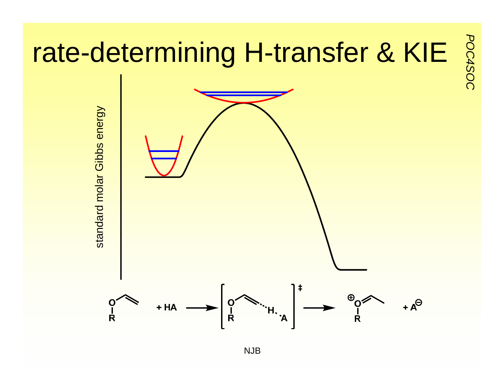

NJB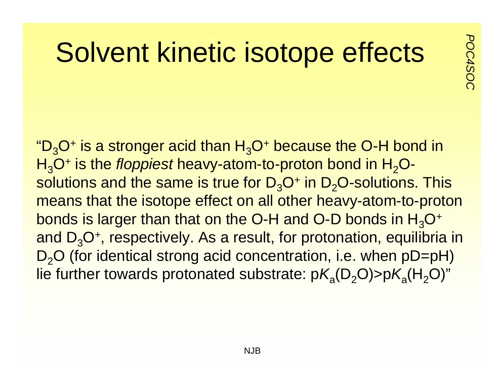#### **Polvent kinetic isotope effects**

" $D_3O^+$  is a stronger acid than  $H_3O^+$  because the O-H bond in H<sub>3</sub>O<sup>+</sup> is the *floppiest* heavy-atom-to-proton bond in H<sub>2</sub>Osolutions and the same is true for  $D_3O^+$  in  $D_2O$ -solutions. This means that the isotope effect on all other heavy-atom-to-proton bonds is larger than that on the O-H and O-D bonds in  $H_3O^+$ and  $D_3O^+$ , respectively. As a result, for protonation, equilibria in  $D<sub>2</sub>O$  (for identical strong acid concentration, i.e. when  $pD=pH$ ) lie further towards protonated substrate:  $pK_a(D_2O) > pK_a(H_2O)$ "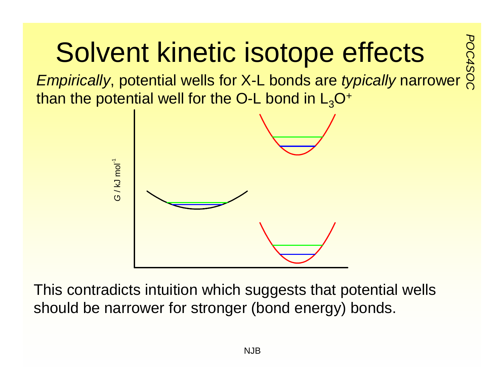### **POCA4 Solvent kinetic isotope effects**<br>*Empirically*, potential wells for X-L bonds are *typically* narrower

than the potential well for the O-L bond in  $L_3O^+$ 



This contradicts intuition which suggests that potential wells should be narrower for stronger (bond energy) bonds.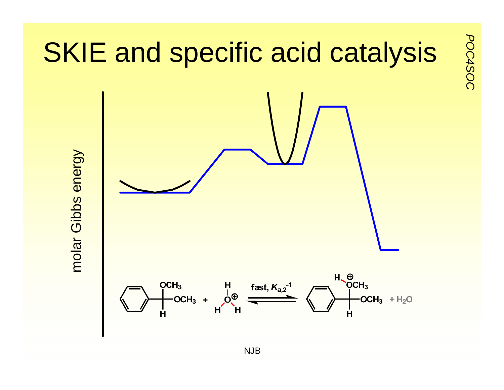

*POC4SOC*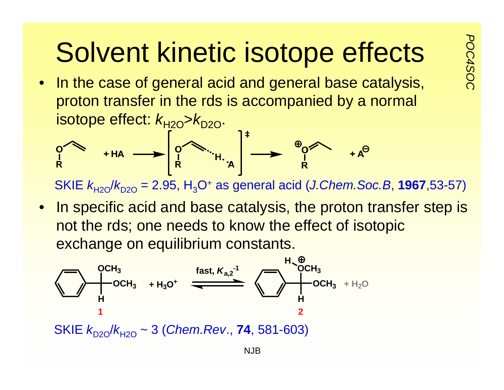# **POCA4SOCATA:** Solvent kinetic isotope effects  $\frac{5}{8}$ <br>• In the case of general acid and general base catalysis,

proton transfer in the rds is accompanied by a normal isotope effect:  $k_{H2O} > k_{D2O}$ .

SKIE *k*H2O/*k*D2O = 2.95, H3O+ as general acid (*J.Chem.Soc.B*, **1967**,53-57)

 $\bullet$ In specific acid and base catalysis, the proton transfer step is not the rds; one needs to know the effect of isotopic exchange on equilibrium constants.

$$
\begin{array}{c}\n\begin{array}{c}\n\text{OCH}_3 \\
\text{OCH}_3 \\
\text{H} \\
\end{array} \\
\end{array}\n\end{array}\n\qquad\n\begin{array}{c}\n\text{fast, } K_{a,2}^{-1} \\
\text{M} \\
\text{OCH}_3 \\
\text{OCH}_3 \\
\end{array}\n\qquad\n\begin{array}{c}\n\text{H}\_6 \\
\text{OCH}_3 \\
\text{OCH}_3 \\
\text{H} \\
\end{array}\n\end{array}\n\quad\n\begin{array}{c}\n\text{H}\_7 \\
\text{OCH}_3 \\
\text{OCH}_3 \\
\end{array}\n\quad\n\begin{array}{c}\n\text{H}\_8 \\
\text{OCH}_3 \\
\text{H} \\
\end{array}
$$

SKIE *k*D2O/*k*H2O ~ 3 (*Chem.Rev*., **74**, 581-603)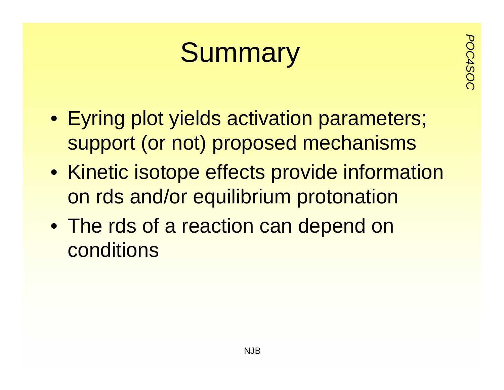### **Summary**

- Eyring plot yields activation parameters; support (or not) proposed mechanisms
- Kinetic isotope effects provide information on rds and/or equilibrium protonation
- The rds of a reaction can depend on conditions